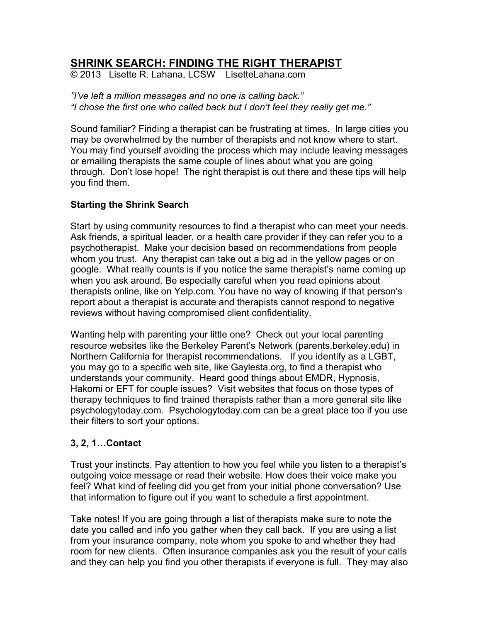# **SHRINK SEARCH: FINDING THE RIGHT THERAPIST**

© 2013 Lisette R. Lahana, LCSW LisetteLahana.com

*"I've left a million messages and no one is calling back." "I chose the first one who called back but I don't feel they really get me."* 

Sound familiar? Finding a therapist can be frustrating at times. In large cities you may be overwhelmed by the number of therapists and not know where to start. You may find yourself avoiding the process which may include leaving messages or emailing therapists the same couple of lines about what you are going through. Don't lose hope! The right therapist is out there and these tips will help you find them.

### **Starting the Shrink Search**

Start by using community resources to find a therapist who can meet your needs. Ask friends, a spiritual leader, or a health care provider if they can refer you to a psychotherapist. Make your decision based on recommendations from people whom you trust. Any therapist can take out a big ad in the yellow pages or on google. What really counts is if you notice the same therapist's name coming up when you ask around. Be especially careful when you read opinions about therapists online, like on Yelp.com. You have no way of knowing if that person's report about a therapist is accurate and therapists cannot respond to negative reviews without having compromised client confidentiality.

Wanting help with parenting your little one? Check out your local parenting resource websites like the Berkeley Parent's Network (parents.berkeley.edu) in Northern California for therapist recommendations. If you identify as a LGBT, you may go to a specific web site, like Gaylesta.org, to find a therapist who understands your community. Heard good things about EMDR, Hypnosis, Hakomi or EFT for couple issues? Visit websites that focus on those types of therapy techniques to find trained therapists rather than a more general site like psychologytoday.com. Psychologytoday.com can be a great place too if you use their filters to sort your options.

## **3, 2, 1…Contact**

Trust your instincts. Pay attention to how you feel while you listen to a therapist's outgoing voice message or read their website. How does their voice make you feel? What kind of feeling did you get from your initial phone conversation? Use that information to figure out if you want to schedule a first appointment.

Take notes! If you are going through a list of therapists make sure to note the date you called and info you gather when they call back. If you are using a list from your insurance company, note whom you spoke to and whether they had room for new clients. Often insurance companies ask you the result of your calls and they can help you find you other therapists if everyone is full. They may also